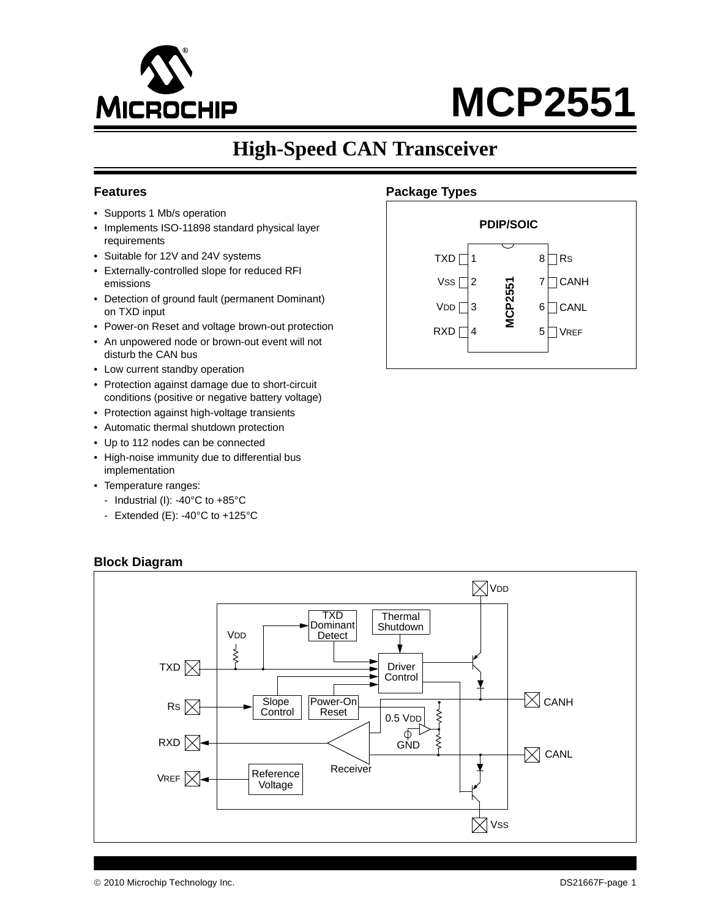

# **MCP2551**

# **High-Speed CAN Transceiver**

#### **Features**

- Supports 1 Mb/s operation
- Implements ISO-11898 standard physical layer requirements
- Suitable for 12V and 24V systems
- Externally-controlled slope for reduced RFI emissions
- Detection of ground fault (permanent Dominant) on TXD input
- Power-on Reset and voltage brown-out protection
- An unpowered node or brown-out event will not disturb the CAN bus
- Low current standby operation
- Protection against damage due to short-circuit conditions (positive or negative battery voltage)
- Protection against high-voltage transients
- Automatic thermal shutdown protection
- Up to 112 nodes can be connected
- High-noise immunity due to differential bus implementation
- Temperature ranges:
	- Industrial (I): -40 $^{\circ}$ C to +85 $^{\circ}$ C
	- Extended (E): -40 $^{\circ}$ C to +125 $^{\circ}$ C



#### **Block Diagram**

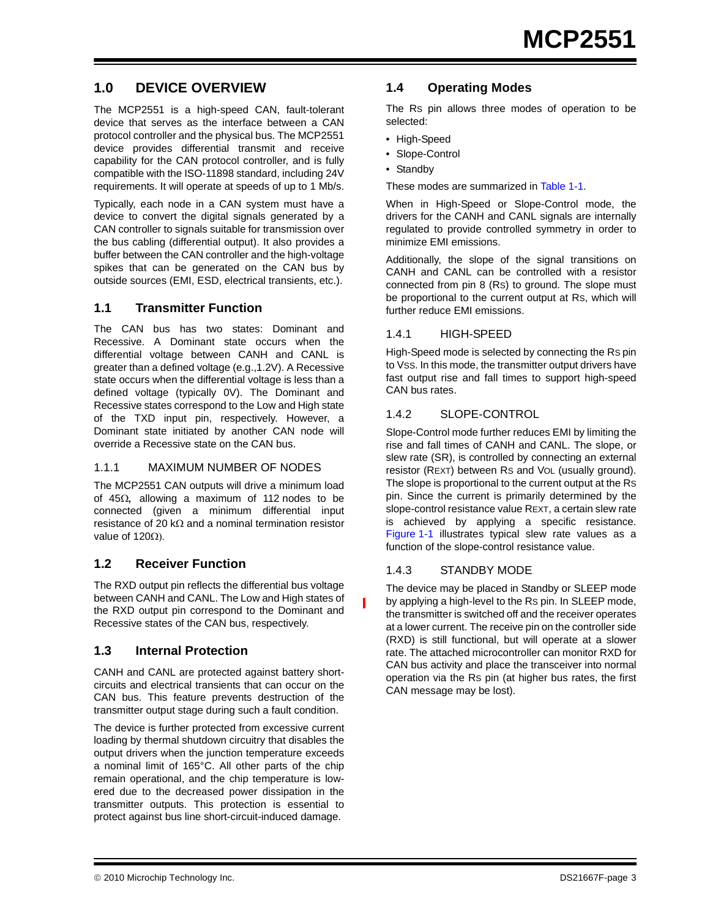## **1.0 DEVICE OVERVIEW**

The MCP2551 is a high-speed CAN, fault-tolerant device that serves as the interface between a CAN protocol controller and the physical bus. The MCP2551 device provides differential transmit and receive capability for the CAN protocol controller, and is fully compatible with the ISO-11898 standard, including 24V requirements. It will operate at speeds of up to 1 Mb/s.

Typically, each node in a CAN system must have a device to convert the digital signals generated by a CAN controller to signals suitable for transmission over the bus cabling (differential output). It also provides a buffer between the CAN controller and the high-voltage spikes that can be generated on the CAN bus by outside sources (EMI, ESD, electrical transients, etc.).

#### **1.1 Transmitter Function**

The CAN bus has two states: Dominant and Recessive. A Dominant state occurs when the differential voltage between CANH and CANL is greater than a defined voltage (e.g.,1.2V). A Recessive state occurs when the differential voltage is less than a defined voltage (typically 0V). The Dominant and Recessive states correspond to the Low and High state of the TXD input pin, respectively. However, a Dominant state initiated by another CAN node will override a Recessive state on the CAN bus.

#### 1.1.1 MAXIMUM NUMBER OF NODES

The MCP2551 CAN outputs will drive a minimum load of 45 $\Omega$ , allowing a maximum of 112 nodes to be connected (given a minimum differential input resistance of 20 kΩ and a nominal termination resistor value of 120Ω).

## **1.2 Receiver Function**

The RXD output pin reflects the differential bus voltage between CANH and CANL. The Low and High states of the RXD output pin correspond to the Dominant and Recessive states of the CAN bus, respectively.

## **1.3 Internal Protection**

CANH and CANL are protected against battery shortcircuits and electrical transients that can occur on the CAN bus. This feature prevents destruction of the transmitter output stage during such a fault condition.

The device is further protected from excessive current loading by thermal shutdown circuitry that disables the output drivers when the junction temperature exceeds a nominal limit of 165°C. All other parts of the chip remain operational, and the chip temperature is lowered due to the decreased power dissipation in the transmitter outputs. This protection is essential to protect against bus line short-circuit-induced damage.

#### **1.4 Operating Modes**

The RS pin allows three modes of operation to be selected:

- High-Speed
- Slope-Control
- Standby

These modes are summarized in [Table 1-1](#page-3-0).

When in High-Speed or Slope-Control mode, the drivers for the CANH and CANL signals are internally regulated to provide controlled symmetry in order to minimize EMI emissions.

Additionally, the slope of the signal transitions on CANH and CANL can be controlled with a resistor connected from pin 8 (RS) to ground. The slope must be proportional to the current output at RS, which will further reduce EMI emissions.

#### 1.4.1 HIGH-SPEED

High-Speed mode is selected by connecting the RS pin to VSS. In this mode, the transmitter output drivers have fast output rise and fall times to support high-speed CAN bus rates.

#### 1.4.2 SLOPE-CONTROL

Slope-Control mode further reduces EMI by limiting the rise and fall times of CANH and CANL. The slope, or slew rate (SR), is controlled by connecting an external resistor (REXT) between RS and VOL (usually ground). The slope is proportional to the current output at the RS pin. Since the current is primarily determined by the slope-control resistance value REXT, a certain slew rate is achieved by applying a specific resistance. [Figure 1-1](#page-3-1) illustrates typical slew rate values as a function of the slope-control resistance value.

#### 1.4.3 STANDBY MODE

The device may be placed in Standby or SLEEP mode by applying a high-level to the RS pin. In SLEEP mode, the transmitter is switched off and the receiver operates at a lower current. The receive pin on the controller side (RXD) is still functional, but will operate at a slower rate. The attached microcontroller can monitor RXD for CAN bus activity and place the transceiver into normal operation via the RS pin (at higher bus rates, the first CAN message may be lost).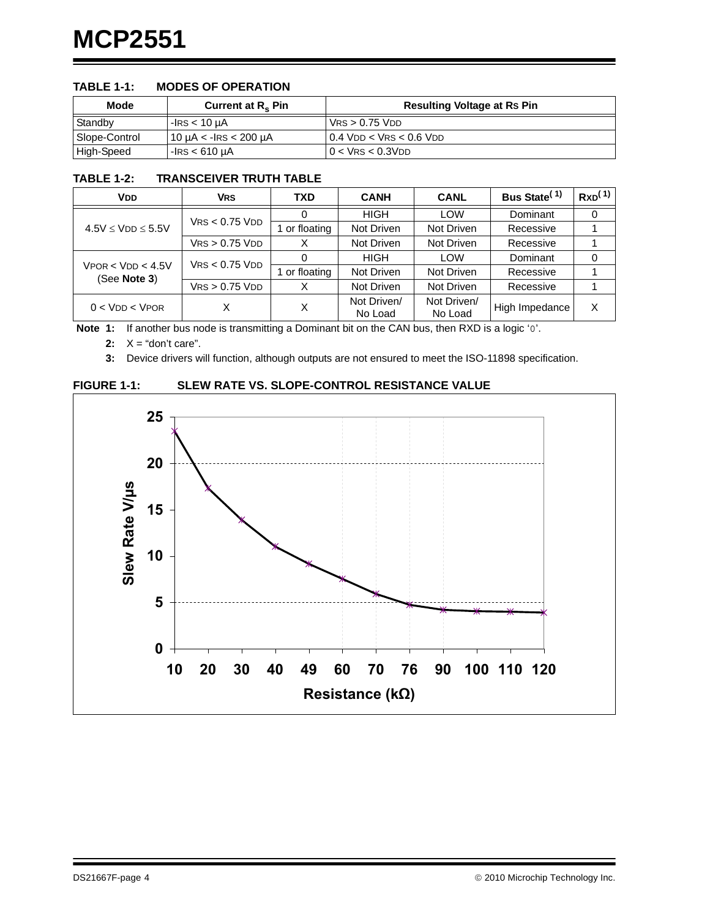<span id="page-3-0"></span>

| <b>TABLE 1-1:</b> | <b>MODES OF OPERATION</b> |
|-------------------|---------------------------|
|-------------------|---------------------------|

| Mode          | <b>Current at R<sub>s</sub> Pin</b> | <b>Resulting Voltage at Rs Pin</b> |
|---------------|-------------------------------------|------------------------------------|
| Standby       | $-$ IRS < 10 µA                     | VRS > 0.75 VDD                     |
| Slope-Control | $10 \mu$ A < -IRS < 200 $\mu$ A     | $0.4$ VDD < VRS < $0.6$ VDD        |
| High-Speed    | $-IRS < 610$ uA                     | $0 < V$ RS $< 0.3 V$ DD            |

#### **TABLE 1-2: TRANSCEIVER TRUTH TABLE**

| <b>VDD</b>                                 | <b>VRS</b>     | <b>TXD</b>  | <b>CANH</b>            | <b>CANL</b>            | Bus State <sup>(1)</sup> | $RxD^{(1)}$ |
|--------------------------------------------|----------------|-------------|------------------------|------------------------|--------------------------|-------------|
|                                            | VRS < 0.75 VDD |             | <b>HIGH</b>            | <b>LOW</b>             | Dominant                 |             |
| $4.5V \leq VDD \leq 5.5V$                  |                | or floating | Not Driven             | Not Driven             | Recessive                |             |
|                                            | Vrs > 0.75 Vdd | X           | Not Driven             | Not Driven             | Recessive                |             |
|                                            | VRS < 0.75 VDD |             | <b>HIGH</b>            | <b>LOW</b>             | Dominant                 | 0           |
| $V$ POR < $V$ DD < 4.5 $V$<br>(See Note 3) |                | or floating | Not Driven             | Not Driven             | Recessive                |             |
|                                            | VRS > 0.75 VDD | X           | Not Driven             | Not Driven             | Recessive                |             |
| $0 <$ VDD $<$ VPOR                         |                | X           | Not Driven/<br>No Load | Not Driven/<br>No Load | High Impedance           | X           |

<span id="page-3-2"></span>**Note 1:** If another bus node is transmitting a Dominant bit on the CAN bus, then RXD is a logic '0'.

**2:** X = "don't care".

**3:** Device drivers will function, although outputs are not ensured to meet the ISO-11898 specification.

## <span id="page-3-3"></span><span id="page-3-1"></span>**FIGURE 1-1: SLEW RATE VS. SLOPE-CONTROL RESISTANCE VALUE**

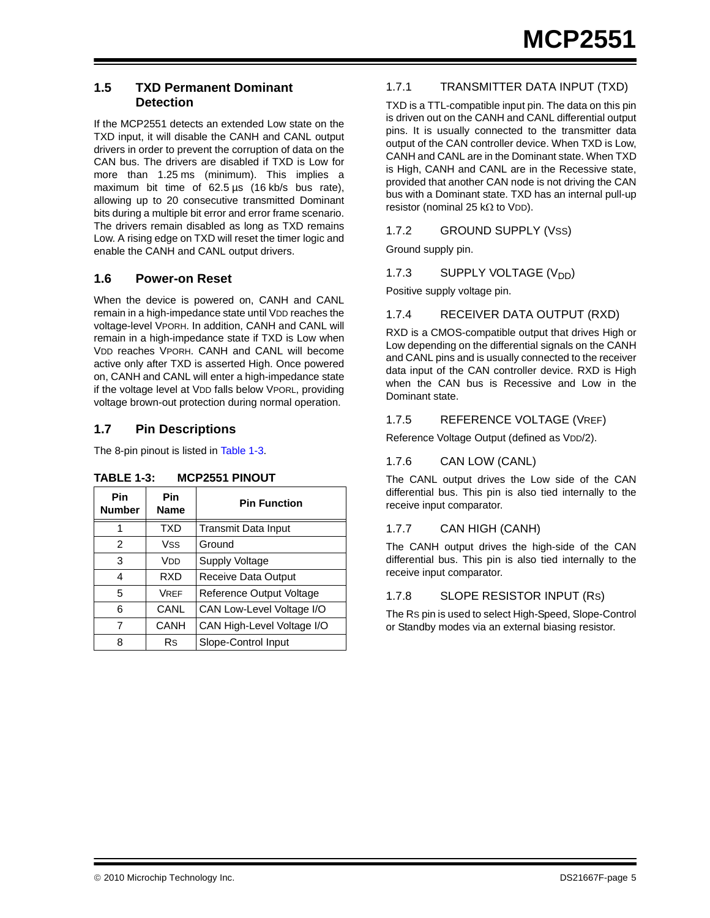#### **1.5 TXD Permanent Dominant Detection**

If the MCP2551 detects an extended Low state on the TXD input, it will disable the CANH and CANL output drivers in order to prevent the corruption of data on the CAN bus. The drivers are disabled if TXD is Low for more than 1.25 ms (minimum). This implies a maximum bit time of 62.5 us (16 kb/s bus rate), allowing up to 20 consecutive transmitted Dominant bits during a multiple bit error and error frame scenario. The drivers remain disabled as long as TXD remains Low. A rising edge on TXD will reset the timer logic and enable the CANH and CANL output drivers.

## **1.6 Power-on Reset**

When the device is powered on, CANH and CANL remain in a high-impedance state until VDD reaches the voltage-level VPORH. In addition, CANH and CANL will remain in a high-impedance state if TXD is Low when VDD reaches VPORH. CANH and CANL will become active only after TXD is asserted High. Once powered on, CANH and CANL will enter a high-impedance state if the voltage level at VDD falls below VPORL, providing voltage brown-out protection during normal operation.

## **1.7 Pin Descriptions**

The 8-pin pinout is listed in [Table 1-3](#page-4-0).

| Pin<br><b>Number</b> | Pin<br><b>Name</b>    | <b>Pin Function</b>        |  |  |  |
|----------------------|-----------------------|----------------------------|--|--|--|
| 1                    | TXD                   | Transmit Data Input        |  |  |  |
| 2                    | <b>VSS</b>            | Ground                     |  |  |  |
| 3                    | <b>V<sub>DD</sub></b> | <b>Supply Voltage</b>      |  |  |  |
| 4                    | RXD                   | <b>Receive Data Output</b> |  |  |  |
| 5                    | VRFF                  | Reference Output Voltage   |  |  |  |
| 6                    | CANL                  | CAN Low-Level Voltage I/O  |  |  |  |
| 7                    | CANH                  | CAN High-Level Voltage I/O |  |  |  |
| 8                    | Rs                    | Slope-Control Input        |  |  |  |

#### <span id="page-4-0"></span>**TABLE 1-3: MCP2551 PINOUT**

## 1.7.1 TRANSMITTER DATA INPUT (TXD)

TXD is a TTL-compatible input pin. The data on this pin is driven out on the CANH and CANL differential output pins. It is usually connected to the transmitter data output of the CAN controller device. When TXD is Low, CANH and CANL are in the Dominant state. When TXD is High, CANH and CANL are in the Recessive state, provided that another CAN node is not driving the CAN bus with a Dominant state. TXD has an internal pull-up resistor (nominal 25 kΩ to VDD).

1.7.2 GROUND SUPPLY (VSS)

Ground supply pin.

<span id="page-4-1"></span>1.7.3 SUPPLY VOLTAGE  $(V_{DD})$ 

Positive supply voltage pin.

## 1.7.4 RECEIVER DATA OUTPUT (RXD)

RXD is a CMOS-compatible output that drives High or Low depending on the differential signals on the CANH and CANL pins and is usually connected to the receiver data input of the CAN controller device. RXD is High when the CAN bus is Recessive and Low in the Dominant state.

## 1.7.5 REFERENCE VOLTAGE (VREF)

Reference Voltage Output (defined as VDD/2).

## 1.7.6 CAN LOW (CANL)

The CANL output drives the Low side of the CAN differential bus. This pin is also tied internally to the receive input comparator.

## 1.7.7 CAN HIGH (CANH)

The CANH output drives the high-side of the CAN differential bus. This pin is also tied internally to the receive input comparator.

## <span id="page-4-2"></span>1.7.8 SLOPE RESISTOR INPUT (RS)

The RS pin is used to select High-Speed, Slope-Control or Standby modes via an external biasing resistor.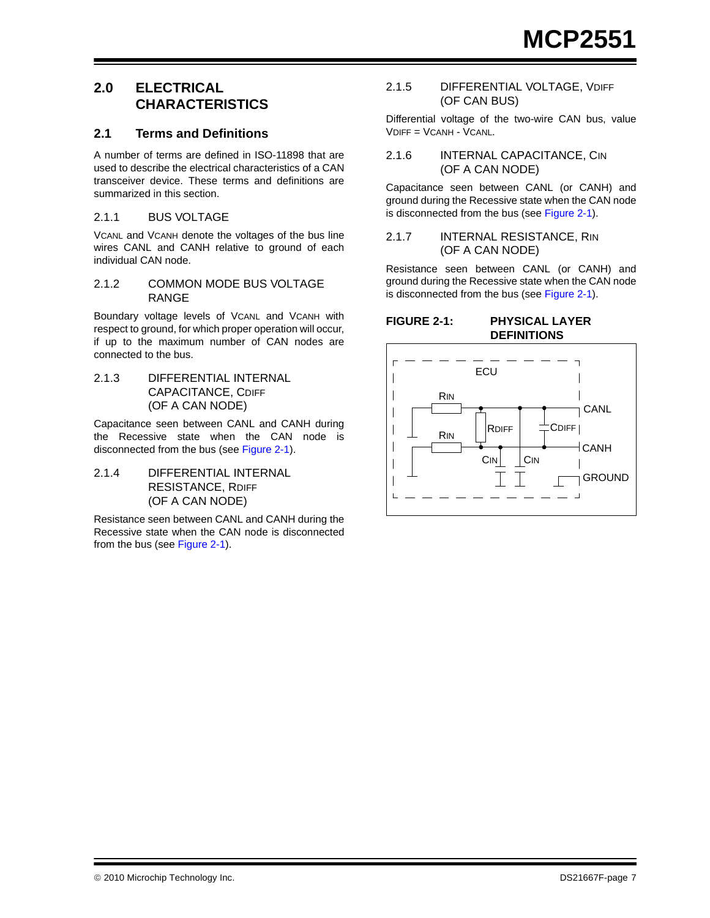## **2.0 ELECTRICAL CHARACTERISTICS**

#### **2.1 Terms and Definitions**

A number of terms are defined in ISO-11898 that are used to describe the electrical characteristics of a CAN transceiver device. These terms and definitions are summarized in this section.

#### 2.1.1 BUS VOLTAGE

VCANL and VCANH denote the voltages of the bus line wires CANL and CANH relative to ground of each individual CAN node.

#### 2.1.2 COMMON MODE BUS VOLTAGE RANGE

Boundary voltage levels of VCANL and VCANH with respect to ground, for which proper operation will occur, if up to the maximum number of CAN nodes are connected to the bus.

2.1.3 DIFFERENTIAL INTERNAL CAPACITANCE, CDIFF (OF A CAN NODE)

Capacitance seen between CANL and CANH during the Recessive state when the CAN node is disconnected from the bus (see [Figure 2-1\)](#page-6-0).

2.1.4 DIFFERENTIAL INTERNAL RESISTANCE, RDIFF (OF A CAN NODE)

Resistance seen between CANL and CANH during the Recessive state when the CAN node is disconnected from the bus (see [Figure 2-1](#page-6-0)).

#### 2.1.5 DIFFERENTIAL VOLTAGE, VDIFF (OF CAN BUS)

Differential voltage of the two-wire CAN bus, value VDIFF = VCANH - VCANL.

#### 2.1.6 INTERNAL CAPACITANCE, CIN (OF A CAN NODE)

Capacitance seen between CANL (or CANH) and ground during the Recessive state when the CAN node is disconnected from the bus (see [Figure 2-1\)](#page-6-0).

#### 2.1.7 INTERNAL RESISTANCE, RIN (OF A CAN NODE)

Resistance seen between CANL (or CANH) and ground during the Recessive state when the CAN node is disconnected from the bus (see [Figure 2-1\)](#page-6-0).

#### <span id="page-6-0"></span>**FIGURE 2-1: PHYSICAL LAYER DEFINITIONS**

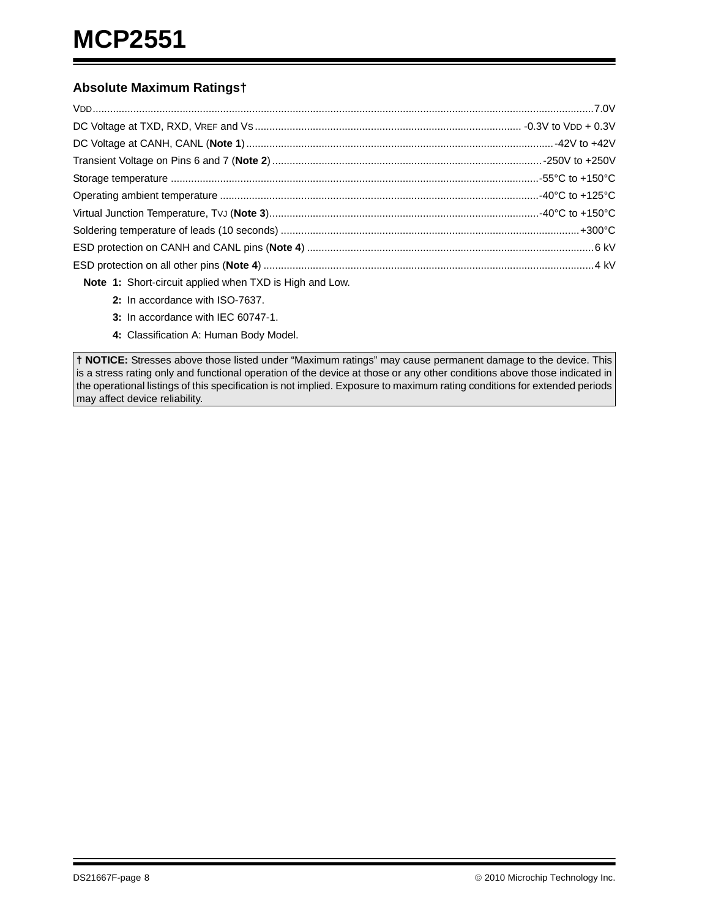## **Absolute Maximum Ratings†**

| <b>Note 1:</b> Short-circuit applied when TXD is High and Low. |  |
|----------------------------------------------------------------|--|

- <span id="page-7-1"></span><span id="page-7-0"></span>**2:** In accordance with ISO-7637.
- <span id="page-7-2"></span>**3:** In accordance with IEC 60747-1.
- **4:** Classification A: Human Body Model.

<span id="page-7-3"></span>**† NOTICE:** Stresses above those listed under "Maximum ratings" may cause permanent damage to the device. This is a stress rating only and functional operation of the device at those or any other conditions above those indicated in the operational listings of this specification is not implied. Exposure to maximum rating conditions for extended periods may affect device reliability.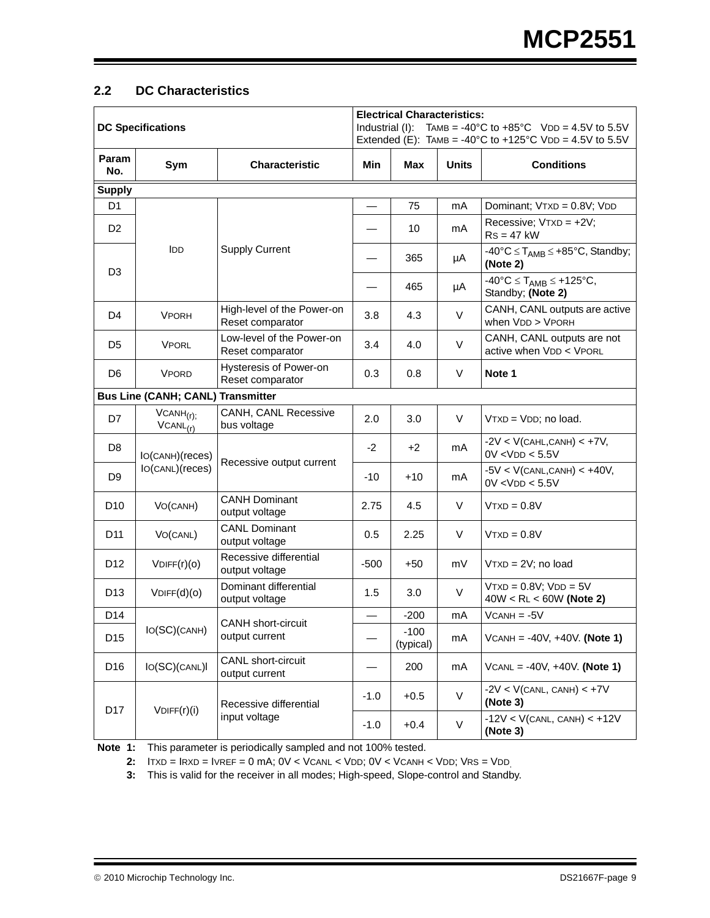## **2.2 DC Characteristics**

|                                          |                          |                                                | <b>Electrical Characteristics:</b>                                              |                     |              |                                                                       |  |  |
|------------------------------------------|--------------------------|------------------------------------------------|---------------------------------------------------------------------------------|---------------------|--------------|-----------------------------------------------------------------------|--|--|
|                                          | <b>DC Specifications</b> |                                                | TAMB = $-40^{\circ}$ C to $+85^{\circ}$ C VDD = 4.5V to 5.5V<br>Industrial (I): |                     |              |                                                                       |  |  |
|                                          |                          |                                                |                                                                                 |                     |              | Extended (E): TAMB = -40°C to +125°C VDD = 4.5V to 5.5V               |  |  |
| Param<br>No.                             | Sym                      | <b>Characteristic</b>                          | <b>Min</b>                                                                      | <b>Max</b>          | <b>Units</b> | <b>Conditions</b>                                                     |  |  |
| <b>Supply</b>                            |                          |                                                |                                                                                 |                     |              |                                                                       |  |  |
| D <sub>1</sub>                           |                          |                                                |                                                                                 | 75                  | mA           | Dominant; VTXD = 0.8V; VDD                                            |  |  |
| D <sub>2</sub>                           |                          |                                                |                                                                                 | 10                  | mA           | Recessive; VTXD = +2V;<br>$Rs = 47$ kW                                |  |  |
| D <sub>3</sub>                           | <b>IDD</b>               | <b>Supply Current</b>                          |                                                                                 | 365                 | μA           | $-40^{\circ}C \leq T_{AMB} \leq +85^{\circ}C$ , Standby;<br>(Note 2)  |  |  |
|                                          |                          |                                                |                                                                                 | 465                 | μA           | $-40^{\circ}C \leq T_{AMB} \leq +125^{\circ}C,$<br>Standby; (Note 2)  |  |  |
| D <sub>4</sub>                           | <b>VPORH</b>             | High-level of the Power-on<br>Reset comparator | 3.8                                                                             | 4.3                 | V            | CANH, CANL outputs are active<br>when VDD > VPORH                     |  |  |
| D5                                       | <b>VPORL</b>             | Low-level of the Power-on<br>Reset comparator  | 3.4                                                                             | 4.0                 | $\vee$       | CANH, CANL outputs are not<br>active when VDD < VPORL                 |  |  |
| D <sub>6</sub>                           | <b>VPORD</b>             | Hysteresis of Power-on<br>Reset comparator     | 0.3                                                                             | 0.8                 | V            | Note 1                                                                |  |  |
| <b>Bus Line (CANH; CANL) Transmitter</b> |                          |                                                |                                                                                 |                     |              |                                                                       |  |  |
| D7                                       | VCANH(r);<br>VCANL(r)    | CANH, CANL Recessive<br>bus voltage            | 2.0                                                                             | 3.0                 | V            | $VTXD = VDD$ ; no load.                                               |  |  |
| D <sub>8</sub>                           | IO(CANH)(reces)          |                                                | $-2$                                                                            | $+2$                | mA           | $-2V < V(CAHL,CANH) < +7V$ ,<br>$0V$ <vdd 5.5v<="" <="" td=""></vdd>  |  |  |
| D <sub>9</sub>                           | IO(CANL)(reces)          | Recessive output current                       | $-10$                                                                           | $+10$               | mA           | $-5V < V(CANL,CANH) < +40V$ ,<br>$0V$ <vdd 5.5v<="" <="" td=""></vdd> |  |  |
| D10                                      | VO(CANH)                 | <b>CANH Dominant</b><br>output voltage         | 2.75                                                                            | 4.5                 | V            | $VTXD = 0.8V$                                                         |  |  |
| D <sub>11</sub>                          | VO(CANL)                 | <b>CANL Dominant</b><br>output voltage         | 0.5                                                                             | 2.25                | V            | $VTXD = 0.8V$                                                         |  |  |
| D <sub>12</sub>                          | $V$ DIFF $(r)(o)$        | Recessive differential<br>output voltage       | $-500$                                                                          | $+50$               | mV           | $VTXD = 2V$ ; no load                                                 |  |  |
| D <sub>13</sub>                          | $V$ DIFF $(d)(o)$        | Dominant differential<br>output voltage        | 1.5                                                                             | 3.0                 | V            | $VTXD = 0.8V$ ; $VDD = 5V$<br>$40W < RL < 60W$ (Note 2)               |  |  |
| D14                                      |                          |                                                |                                                                                 | $-200$              | mA           | $VCANH = -5V$                                                         |  |  |
| D <sub>15</sub>                          | IO(SC)(CANH)             | CANH short-circuit<br>output current           |                                                                                 | $-100$<br>(typical) | mA           | $VCANH = -40V, +40V.$ (Note 1)                                        |  |  |
| D16                                      | IO(SC)(CANL)I            | <b>CANL</b> short-circuit<br>output current    |                                                                                 | 200                 | mA           | $VCANL = -40V, +40V.$ (Note 1)                                        |  |  |
| D <sub>17</sub>                          | $V$ DIFF $(r)(i)$        | Recessive differential                         | $-1.0$                                                                          | $+0.5$              | V            | $-2V < V(CANL, CANH) < +7V$<br>(Note 3)                               |  |  |
|                                          |                          | input voltage                                  | $-1.0$                                                                          | $+0.4$              | V            | $-12V < V(CANL, CANH) < +12V$<br>(Note 3)                             |  |  |

<span id="page-8-2"></span><span id="page-8-1"></span><span id="page-8-0"></span>**Note 1:** This parameter is periodically sampled and not 100% tested.

**2:** ITXD = IRXD = IVREF = 0 mA; 0V < VCANL < VDD; 0V < VCANH < VDD; VRS = VDD.

**3:** This is valid for the receiver in all modes; High-speed, Slope-control and Standby.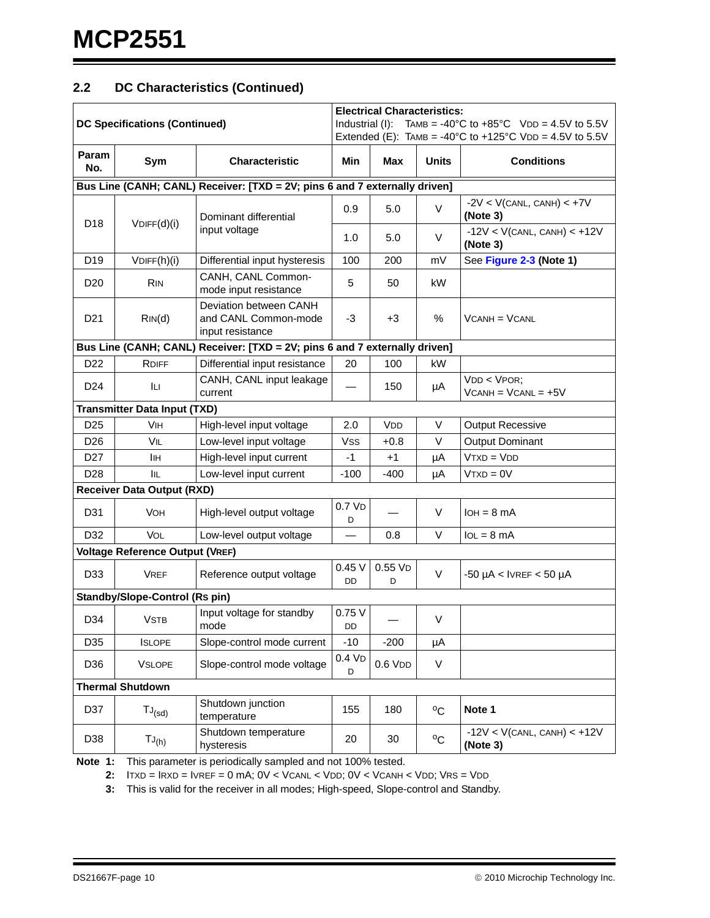## **2.2 DC Characteristics (Continued)**

| <b>DC Specifications (Continued)</b>                                       |                                        |                                                                            | <b>Electrical Characteristics:</b><br>TAMB = $-40^{\circ}$ C to $+85^{\circ}$ C VDD = 4.5V to 5.5V<br>Industrial (I):<br>Extended (E): TAMB = -40°C to +125°C VDD = 4.5V to 5.5V |              |                  |                                           |
|----------------------------------------------------------------------------|----------------------------------------|----------------------------------------------------------------------------|----------------------------------------------------------------------------------------------------------------------------------------------------------------------------------|--------------|------------------|-------------------------------------------|
| Param<br>No.                                                               | Sym                                    | <b>Characteristic</b>                                                      | <b>Min</b>                                                                                                                                                                       | Max          | <b>Units</b>     | <b>Conditions</b>                         |
|                                                                            |                                        | Bus Line (CANH; CANL) Receiver: [TXD = 2V; pins 6 and 7 externally driven] |                                                                                                                                                                                  |              |                  |                                           |
| D18                                                                        | $V$ DIFF $(d)(i)$                      | Dominant differential                                                      | 0.9                                                                                                                                                                              | 5.0          | V                | $-2V < V(CANL, CANH) < +7V$<br>(Note 3)   |
|                                                                            |                                        | input voltage                                                              | 1.0                                                                                                                                                                              | 5.0          | V                | $-12V < V(CANL, CANH) < +12V$<br>(Note 3) |
| D <sub>19</sub>                                                            | VDIFF(h)(i)                            | Differential input hysteresis                                              | 100                                                                                                                                                                              | 200          | mV               | See Figure 2-3 (Note 1)                   |
| D <sub>20</sub>                                                            | <b>RIN</b>                             | CANH, CANL Common-<br>mode input resistance                                | 5                                                                                                                                                                                | 50           | kW               |                                           |
| D <sub>21</sub>                                                            | RIN(d)                                 | Deviation between CANH<br>and CANL Common-mode<br>input resistance         | -3                                                                                                                                                                               | +3           | $\%$             | VCANH = VCANL                             |
| Bus Line (CANH; CANL) Receiver: [TXD = 2V; pins 6 and 7 externally driven] |                                        |                                                                            |                                                                                                                                                                                  |              |                  |                                           |
| D <sub>22</sub>                                                            | <b>RDIFF</b>                           | Differential input resistance                                              | 20                                                                                                                                                                               | 100          | kW               |                                           |
| D24                                                                        | Iц                                     | CANH, CANL input leakage<br>current                                        |                                                                                                                                                                                  | 150          | μA               | VDD < VPOP;<br>$VCANH = VCANL = +5V$      |
|                                                                            | Transmitter Data Input (TXD)           |                                                                            |                                                                                                                                                                                  |              |                  |                                           |
| D <sub>25</sub>                                                            | <b>VIH</b>                             | High-level input voltage                                                   | 2.0                                                                                                                                                                              | <b>VDD</b>   | V                | <b>Output Recessive</b>                   |
| D <sub>26</sub>                                                            | <b>VIL</b>                             | Low-level input voltage                                                    | <b>Vss</b>                                                                                                                                                                       | $+0.8$       | V                | <b>Output Dominant</b>                    |
| D27                                                                        | IІН                                    | High-level input current                                                   | -1                                                                                                                                                                               | +1           | μA               | $VTXD = VDD$                              |
| D <sub>28</sub>                                                            | IIL                                    | Low-level input current                                                    | $-100$                                                                                                                                                                           | $-400$       | μA               | $VtxD = 0V$                               |
|                                                                            | <b>Receiver Data Output (RXD)</b>      |                                                                            |                                                                                                                                                                                  |              |                  |                                           |
| D31                                                                        | <b>VOH</b>                             | High-level output voltage                                                  | 0.7 <sub>VD</sub><br>D                                                                                                                                                           |              | V                | $IOH = 8 mA$                              |
| D32                                                                        | VOL                                    | Low-level output voltage                                                   |                                                                                                                                                                                  | 0.8          | V                | $IoL = 8 mA$                              |
|                                                                            | <b>Voltage Reference Output (VREF)</b> |                                                                            |                                                                                                                                                                                  |              |                  |                                           |
| D33                                                                        | <b>VREF</b>                            | Reference output voltage                                                   | 0.45V<br><b>DD</b>                                                                                                                                                               | 0.55 VD<br>D | $\vee$           | $-50 \mu A <$ IVREF $< 50 \mu A$          |
|                                                                            | <b>Standby/Slope-Control (Rs pin)</b>  |                                                                            |                                                                                                                                                                                  |              |                  |                                           |
| D34                                                                        | <b>VSTB</b>                            | Input voltage for standby<br>mode                                          | 0.75V<br>DD                                                                                                                                                                      |              | V                |                                           |
| D35                                                                        | <b>ISLOPE</b>                          | Slope-control mode current                                                 | $-10$                                                                                                                                                                            | $-200$       | μA               |                                           |
| D36                                                                        | <b>VSLOPE</b>                          | Slope-control mode voltage                                                 | $0.4$ VD<br>D                                                                                                                                                                    | 0.6 VDD      | $\sf V$          |                                           |
|                                                                            | <b>Thermal Shutdown</b>                |                                                                            |                                                                                                                                                                                  |              |                  |                                           |
| D37                                                                        | $TJ_{(sd)}$                            | Shutdown junction<br>temperature                                           | 155                                                                                                                                                                              | 180          | $^{\circ}$ C     | Note 1                                    |
| D38                                                                        | $TJ_{(h)}$                             | Shutdown temperature<br>hysteresis                                         | 20                                                                                                                                                                               | 30           | $\mathrm{^{o}C}$ | $-12V < V(CANL, CANH) < +12V$<br>(Note 3) |

**Note 1:** This parameter is periodically sampled and not 100% tested.

**2:** ITXD = IRXD = IVREF = 0 mA; 0V < VCANL < VDD; 0V < VCANH < VDD; VRS = VDD.

**3:** This is valid for the receiver in all modes; High-speed, Slope-control and Standby.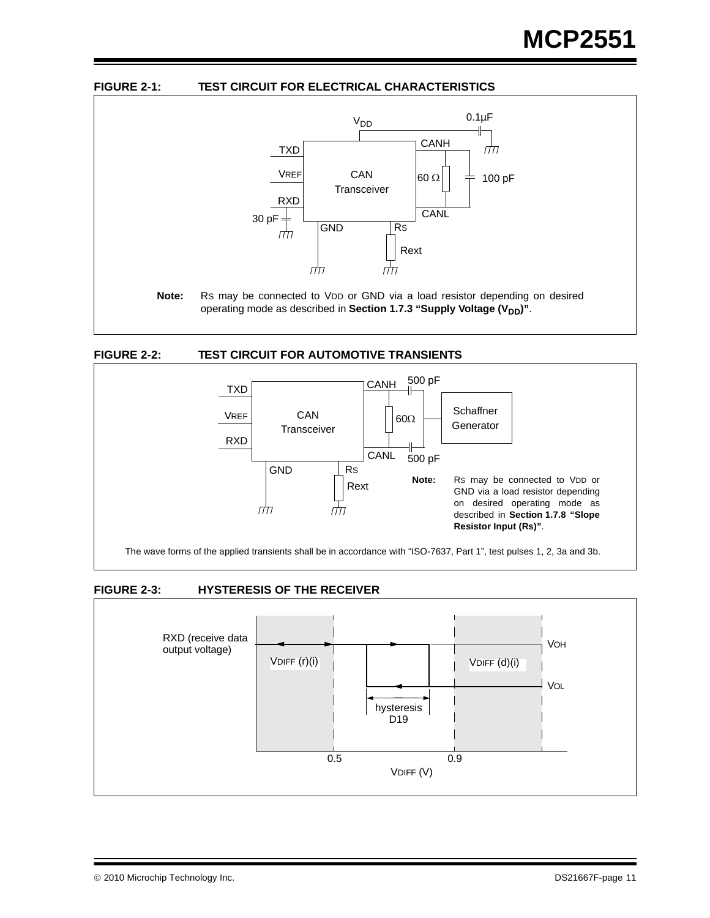#### <span id="page-10-1"></span>**FIGURE 2-1: TEST CIRCUIT FOR ELECTRICAL CHARACTERISTICS**



#### **FIGURE 2-2: TEST CIRCUIT FOR AUTOMOTIVE TRANSIENTS**



#### <span id="page-10-0"></span>**FIGURE 2-3: HYSTERESIS OF THE RECEIVER**

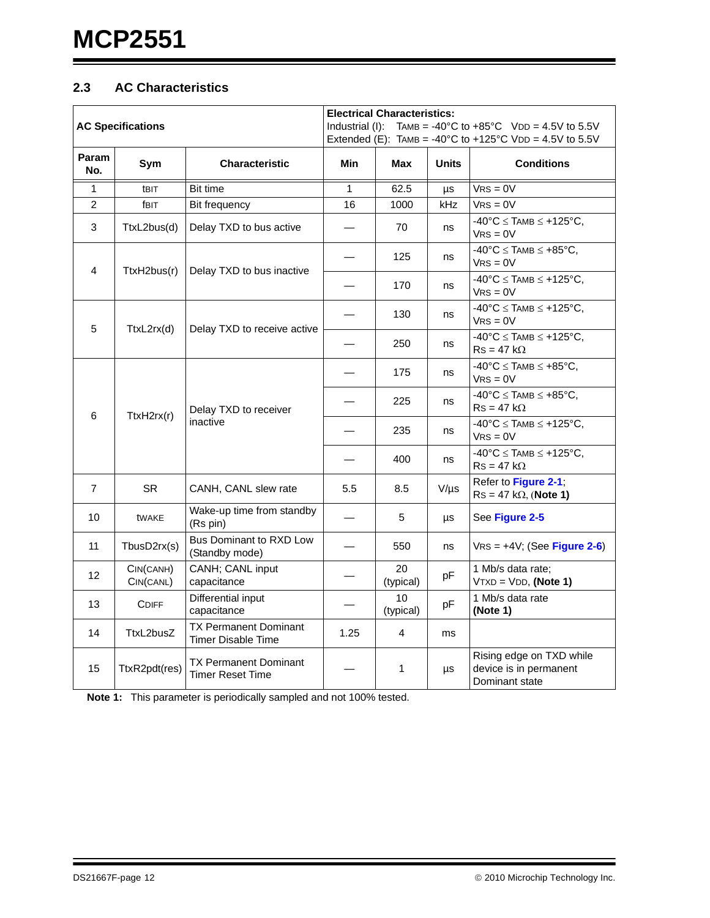## **2.3 AC Characteristics**

| <b>AC Specifications</b> |                              |                                                         | <b>Electrical Characteristics:</b><br>Industrial (I):<br>TAMB = $-40^{\circ}$ C to $+85^{\circ}$ C VDD = 4.5V to 5.5V<br>Extended (E): TAMB = -40°C to +125°C VDD = 4.5V to 5.5V |                 |           |                                                                      |  |
|--------------------------|------------------------------|---------------------------------------------------------|----------------------------------------------------------------------------------------------------------------------------------------------------------------------------------|-----------------|-----------|----------------------------------------------------------------------|--|
| Param<br>No.             | <b>Characteristic</b><br>Sym |                                                         | <b>Min</b>                                                                                                                                                                       | Max             | Units     | <b>Conditions</b>                                                    |  |
| $\mathbf{1}$             | <b>tBIT</b>                  | <b>Bit time</b>                                         | 1                                                                                                                                                                                | 62.5            | μs        | $VRS = 0V$                                                           |  |
| $\overline{2}$           | fbit                         | Bit frequency                                           | 16                                                                                                                                                                               | 1000            | kHz       | $VRS = 0V$                                                           |  |
| 3                        | TtxL2bus(d)                  | Delay TXD to bus active                                 |                                                                                                                                                                                  | 70              | ns        | $-40^{\circ}C \leq$ TAMB $\leq$ +125°C,<br>$VRS = 0V$                |  |
| 4                        | TtxH2bus(r)                  | Delay TXD to bus inactive                               |                                                                                                                                                                                  | 125             | ns        | $-40^{\circ}$ C $\leq$ TAMB $\leq$ +85°C,<br>$VRS = 0V$              |  |
|                          |                              |                                                         |                                                                                                                                                                                  | 170             | ns        | $-40^{\circ}$ C $\leq$ TAMB $\leq$ +125°C,<br>$VRS = 0V$             |  |
| 5                        | TtxL2rx(d)                   | Delay TXD to receive active                             |                                                                                                                                                                                  | 130             | ns        | $-40^{\circ}$ C $\leq$ TAMB $\leq$ +125°C,<br>$VRS = 0V$             |  |
|                          |                              |                                                         |                                                                                                                                                                                  | 250             | ns        | $-40^{\circ}$ C $\leq$ TAMB $\leq$ +125°C,<br>$Rs = 47 k\Omega$      |  |
|                          |                              |                                                         |                                                                                                                                                                                  | 175             | ns        | $-40^{\circ}$ C $\leq$ TAMB $\leq$ +85°C,<br>$VRS = 0V$              |  |
|                          | TtxH2rx(r)                   | Delay TXD to receiver<br>inactive                       |                                                                                                                                                                                  | 225             | ns        | $-40^{\circ}$ C $\leq$ TAMB $\leq$ +85°C,<br>$Rs = 47 k\Omega$       |  |
| 6                        |                              |                                                         |                                                                                                                                                                                  | 235             | ns        | $-40^{\circ}$ C $\leq$ TAMB $\leq$ +125°C,<br>$VRS = 0V$             |  |
|                          |                              |                                                         |                                                                                                                                                                                  | 400             | ns        | $-40^{\circ}$ C $\leq$ TAMB $\leq$ +125°C,<br>$Rs = 47 k\Omega$      |  |
| $\overline{7}$           | SR.                          | CANH, CANL slew rate                                    | 5.5                                                                                                                                                                              | 8.5             | $V/\mu s$ | Refer to Figure 2-1;<br>$Rs = 47 k\Omega$ , (Note 1)                 |  |
| 10                       | tWAKE                        | Wake-up time from standby<br>(Rs pin)                   |                                                                                                                                                                                  | 5               | μs        | See Figure 2-5                                                       |  |
| 11                       | TbusD2rx(s)                  | Bus Dominant to RXD Low<br>(Standby mode)               |                                                                                                                                                                                  | 550             | ns        | $VRS = +4V$ ; (See Figure 2-6)                                       |  |
| 12 <sup>2</sup>          | CIN(CANH)<br>CIN(CANL)       | CANH; CANL input<br>capacitance                         |                                                                                                                                                                                  | 20<br>(typical) | рF        | 1 Mb/s data rate;<br>$VTXD = VDD$ , (Note 1)                         |  |
| 13                       | <b>CDIFF</b>                 | Differential input<br>capacitance                       |                                                                                                                                                                                  | 10<br>(typical) | рF        | 1 Mb/s data rate<br>(Note 1)                                         |  |
| 14                       | TtxL2busZ                    | <b>TX Permanent Dominant</b><br>Timer Disable Time      | 1.25                                                                                                                                                                             | $\overline{4}$  | ms        |                                                                      |  |
| 15                       | TtxR2pdt(res)                | <b>TX Permanent Dominant</b><br><b>Timer Reset Time</b> |                                                                                                                                                                                  | $\mathbf{1}$    | μs        | Rising edge on TXD while<br>device is in permanent<br>Dominant state |  |

<span id="page-11-0"></span>**Note 1:** This parameter is periodically sampled and not 100% tested.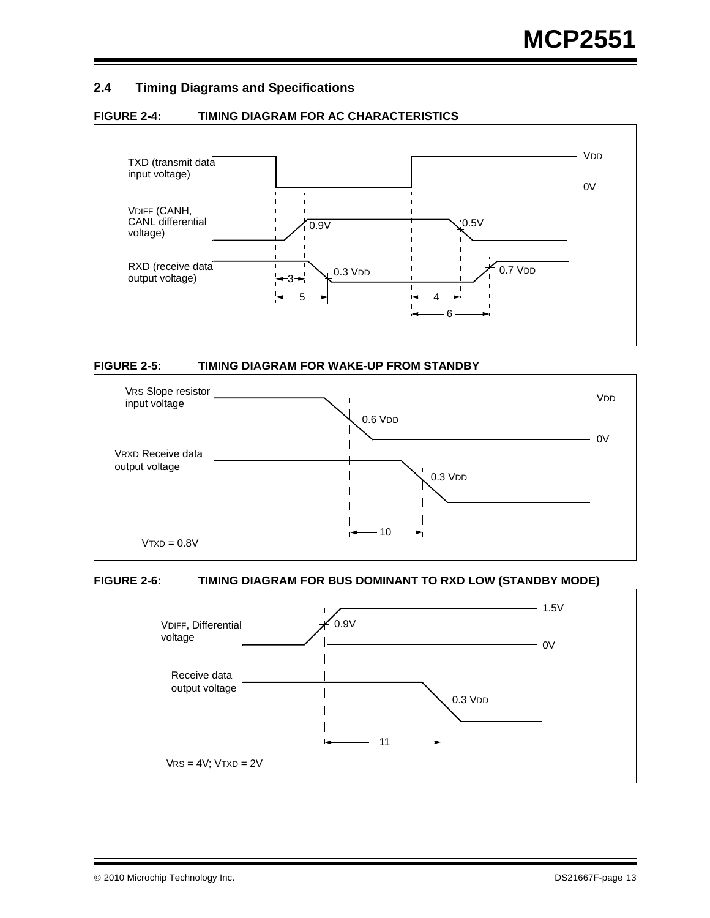## **2.4 Timing Diagrams and Specifications**





<span id="page-12-0"></span>



<span id="page-12-1"></span>**FIGURE 2-6: TIMING DIAGRAM FOR BUS DOMINANT TO RXD LOW (STANDBY MODE)**

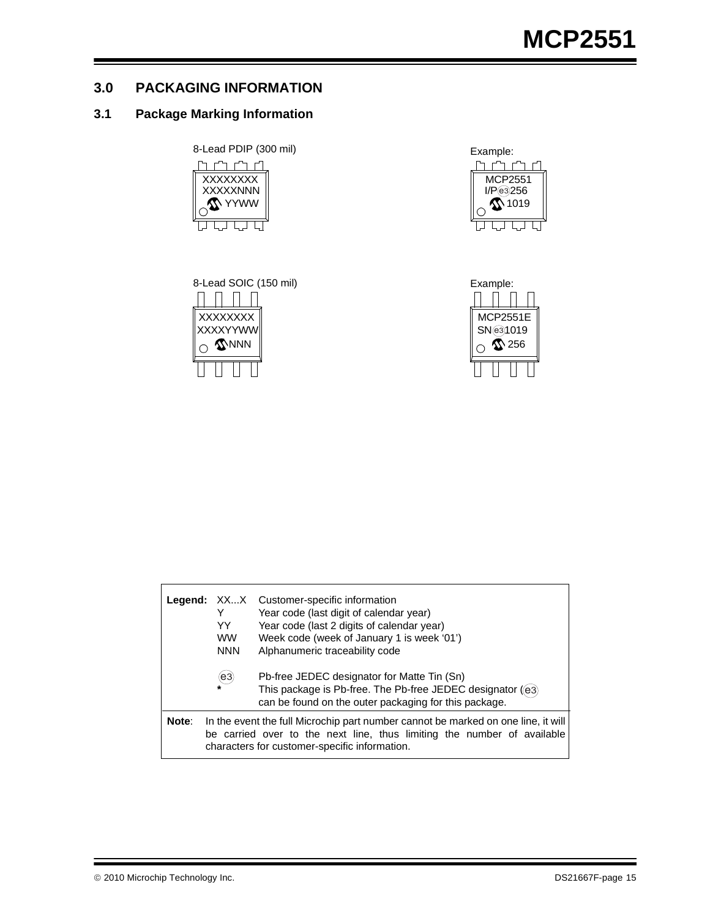## **3.0 PACKAGING INFORMATION**

## **3.1 Package Marking Information**



|       | Legend: XXX<br>Y<br>YY<br><b>WW</b><br><b>NNN</b><br>(e3) | Customer-specific information<br>Year code (last digit of calendar year)<br>Year code (last 2 digits of calendar year)<br>Week code (week of January 1 is week '01')<br>Alphanumeric traceability code<br>Pb-free JEDEC designator for Matte Tin (Sn)<br>This package is Pb-free. The Pb-free JEDEC designator (e3)<br>can be found on the outer packaging for this package. |
|-------|-----------------------------------------------------------|------------------------------------------------------------------------------------------------------------------------------------------------------------------------------------------------------------------------------------------------------------------------------------------------------------------------------------------------------------------------------|
| Note: |                                                           | In the event the full Microchip part number cannot be marked on one line, it will<br>be carried over to the next line, thus limiting the number of available<br>characters for customer-specific information.                                                                                                                                                                |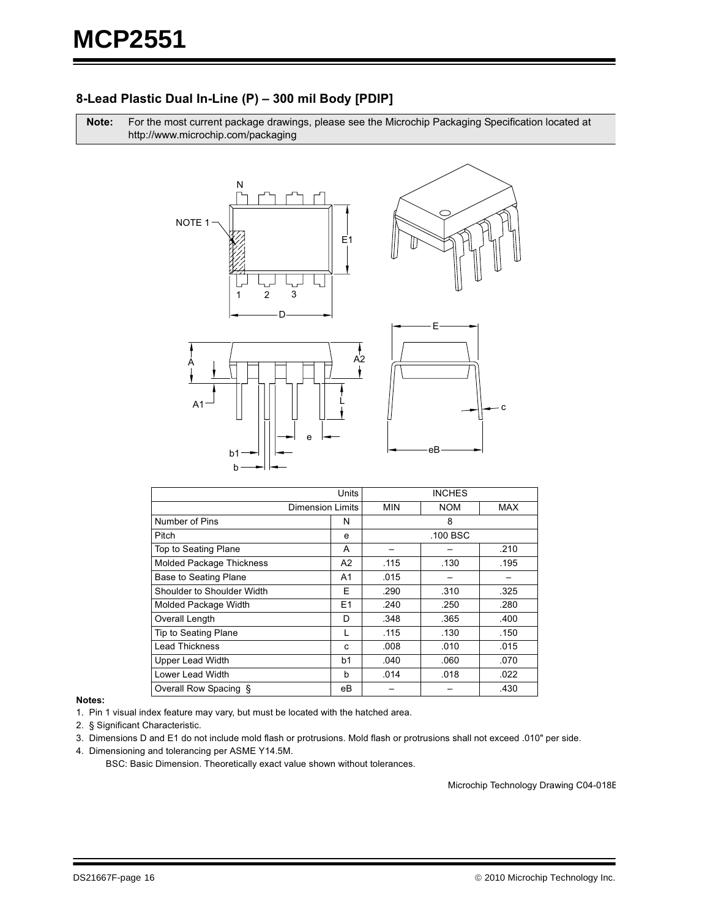## 8-Lead Plastic Dual In-Line (P) - 300 mil Body [PDIP]

Note: For the most current package drawings, please see the Microchip Packaging Specification located at http://www.microchip.com/packaging



|                                 | <b>INCHES</b>  |            |            |            |  |  |
|---------------------------------|----------------|------------|------------|------------|--|--|
| <b>Dimension Limits</b>         |                | <b>MIN</b> | <b>NOM</b> | <b>MAX</b> |  |  |
| Number of Pins                  | N              |            | 8          |            |  |  |
| Pitch                           | e              | .100 BSC   |            |            |  |  |
| Top to Seating Plane            | A              |            |            | .210       |  |  |
| <b>Molded Package Thickness</b> | A2             | .115       | .130       | .195       |  |  |
| <b>Base to Seating Plane</b>    | A <sub>1</sub> | .015       |            |            |  |  |
| Shoulder to Shoulder Width      | Ε              | .290       | .310       | .325       |  |  |
| Molded Package Width            | E <sub>1</sub> | .240       | .250       | .280       |  |  |
| Overall Length                  | D              | .348       | .365       | .400       |  |  |
| Tip to Seating Plane            | L              | .115       | .130       | .150       |  |  |
| <b>Lead Thickness</b>           | C              | .008       | .010       | .015       |  |  |
| <b>Upper Lead Width</b>         | b <sub>1</sub> | .040       | .060       | .070       |  |  |
| Lower Lead Width                | b              | .014       | .018       | .022       |  |  |
| Overall Row Spacing §           | eВ             |            |            | .430       |  |  |

#### Notes:

- 1. Pin 1 visual index feature may vary, but must be located with the hatched area.
- 2. § Significant Characteristic.
- 3. Dimensions D and E1 do not include mold flash or protrusions. Mold flash or protrusions shall not exceed .010" per side.
- 4. Dimensioning and tolerancing per ASME Y14.5M.

BSC: Basic Dimension. Theoretically exact value shown without tolerances.

Microchip Technology Drawing C04-018E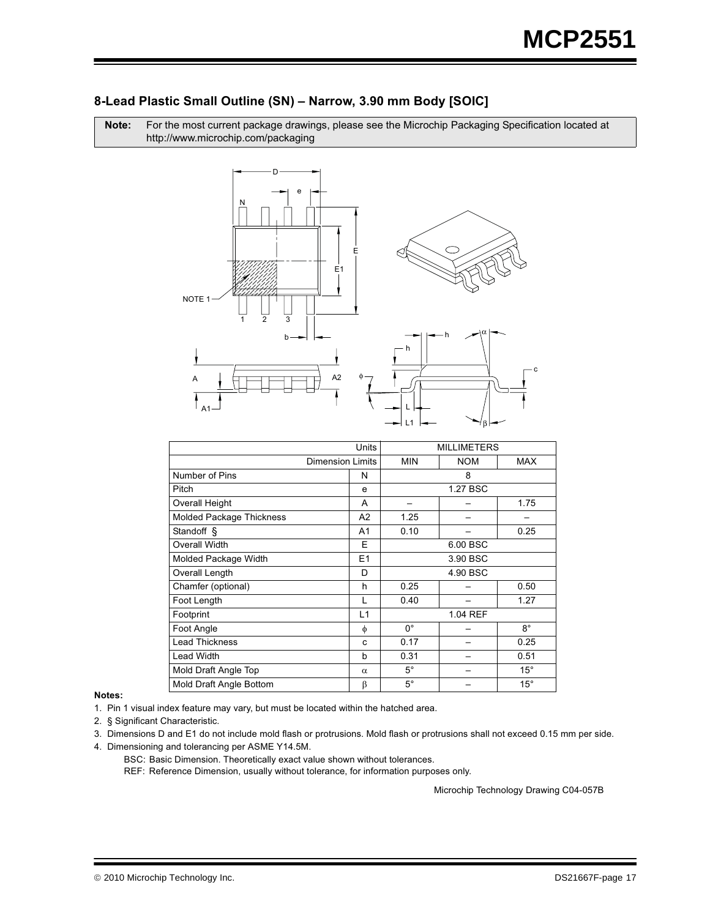## 8-Lead Plastic Small Outline (SN) - Narrow, 3.90 mm Body [SOIC]

Note: For the most current package drawings, please see the Microchip Packaging Specification located at http://www.microchip.com/packaging



|                                 | <b>MILLIMETERS</b> |              |            |              |  |
|---------------------------------|--------------------|--------------|------------|--------------|--|
| <b>Dimension Limits</b>         | <b>MIN</b>         | <b>NOM</b>   | <b>MAX</b> |              |  |
| Number of Pins                  | N                  | 8            |            |              |  |
| Pitch                           | e                  |              | 1.27 BSC   |              |  |
| Overall Height                  | A                  |              |            | 1.75         |  |
| <b>Molded Package Thickness</b> | A <sub>2</sub>     | 1.25         |            |              |  |
| Standoff §                      | A <sub>1</sub>     | 0.10         |            | 0.25         |  |
| Overall Width                   | Е                  | 6.00 BSC     |            |              |  |
| Molded Package Width            | E <sub>1</sub>     | 3.90 BSC     |            |              |  |
| Overall Length                  | D                  | 4.90 BSC     |            |              |  |
| Chamfer (optional)              | h                  | 0.25<br>0.50 |            |              |  |
| Foot Length                     | L                  | 0.40         |            | 1.27         |  |
| Footprint                       | L1                 |              | 1.04 REF   |              |  |
| Foot Angle                      | φ                  | $0^{\circ}$  |            | $8^{\circ}$  |  |
| <b>Lead Thickness</b>           | C                  | 0.17<br>0.25 |            |              |  |
| Lead Width                      | b                  | 0.31         |            | 0.51         |  |
| Mold Draft Angle Top            | $\alpha$           | $5^{\circ}$  |            | $15^{\circ}$ |  |
| Mold Draft Angle Bottom         | β                  | $5^{\circ}$  |            | $15^{\circ}$ |  |

#### Notes:

1. Pin 1 visual index feature may vary, but must be located within the hatched area.

2. § Significant Characteristic.

3. Dimensions D and E1 do not include mold flash or protrusions. Mold flash or protrusions shall not exceed 0.15 mm per side.

- 4. Dimensioning and tolerancing per ASME Y14.5M.
	- BSC: Basic Dimension. Theoretically exact value shown without tolerances.

REF: Reference Dimension, usually without tolerance, for information purposes only.

Microchip Technology Drawing C04-057B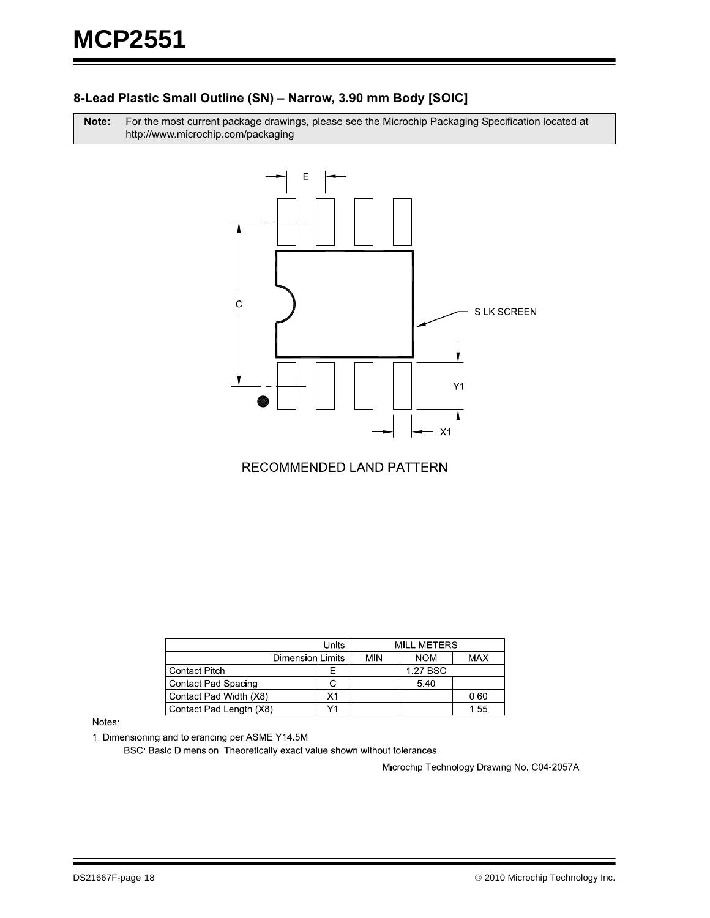## 8-Lead Plastic Small Outline (SN) – Narrow, 3.90 mm Body [SOIC]

Note: r the most current package drawings, please see the Microchip Packaging Specification located at http://www.microchip.com/packaging



## **RECOMMENDED LAND PATTERN**

|                         | <b>MILLIMETERS</b> |            |            |      |
|-------------------------|--------------------|------------|------------|------|
| Dimension Limits        | <b>MIN</b>         | <b>NOM</b> | <b>MAX</b> |      |
| <b>Contact Pitch</b>    | ⊢                  | 1.27 BSC   |            |      |
| Contact Pad Spacing     | ι,                 |            | 5.40       |      |
| Contact Pad Width (X8)  | Х1                 |            |            | 0.60 |
| Contact Pad Length (X8) | v4                 |            |            | 1.55 |

Notes:

1. Dimensioning and tolerancing per ASME Y14.5M

BSC: Basic Dimension. Theoretically exact value shown without tolerances.

Microchip Technology Drawing No. C04-2057A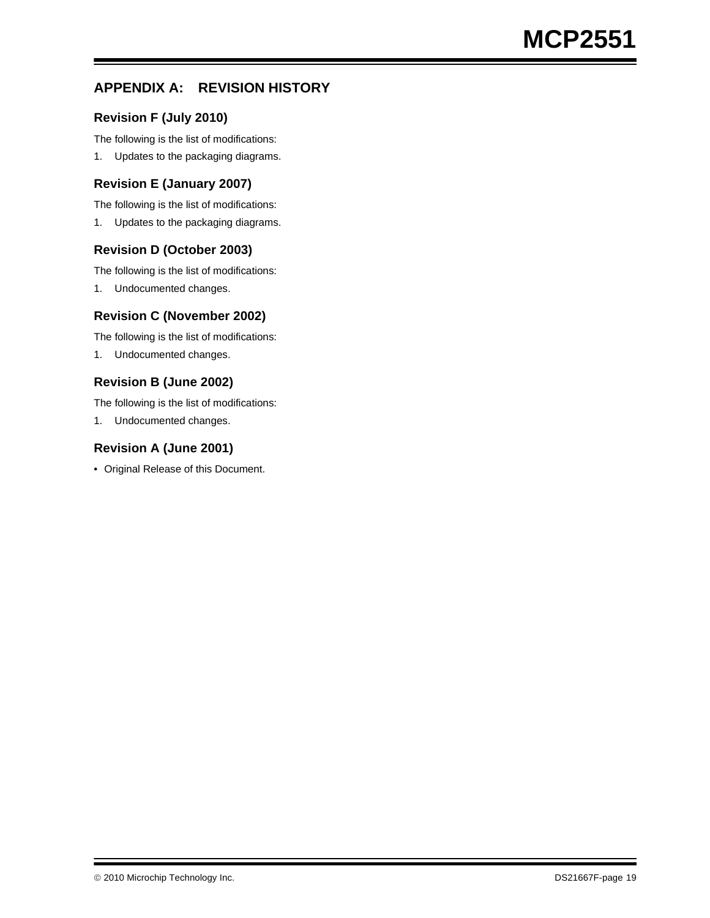## **APPENDIX A: REVISION HISTORY**

## **Revision F (July 2010)**

The following is the list of modifications:

1. Updates to the packaging diagrams.

## **Revision E (January 2007)**

The following is the list of modifications:

1. Updates to the packaging diagrams.

## **Revision D (October 2003)**

The following is the list of modifications:

1. Undocumented changes.

## **Revision C (November 2002)**

The following is the list of modifications:

1. Undocumented changes.

## **Revision B (June 2002)**

The following is the list of modifications:

1. Undocumented changes.

## **Revision A (June 2001)**

• Original Release of this Document.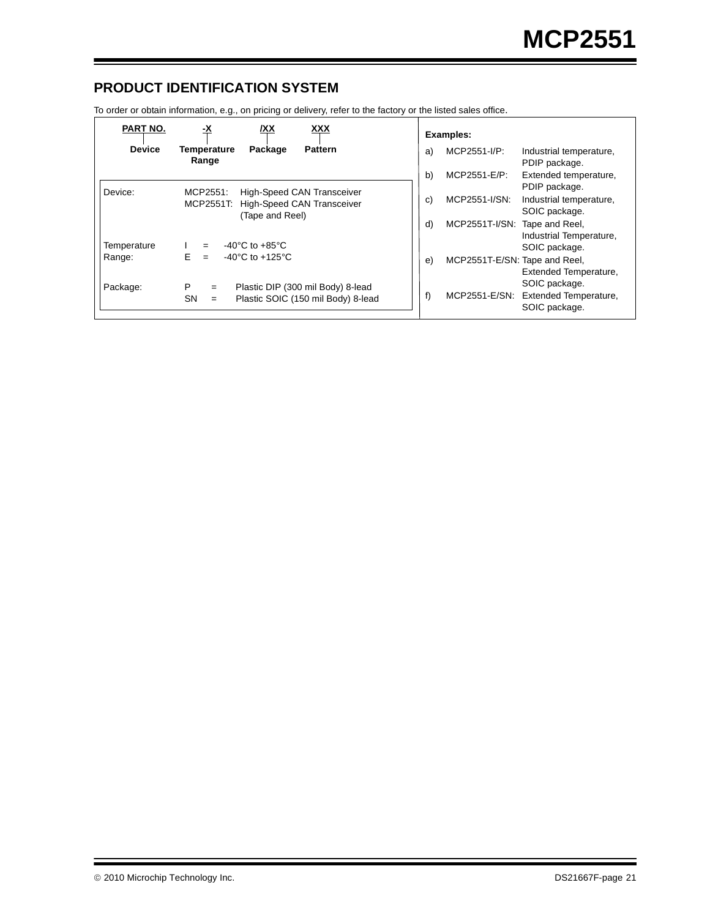## **PRODUCT IDENTIFICATION SYSTEM**

To order or obtain information, e.g., on pricing or delivery, refer to the factory or the listed sales office.

| PART NO.              | /XX<br><u>XXX</u><br><u>-x</u>                                                                          | Examples:                                                                            |
|-----------------------|---------------------------------------------------------------------------------------------------------|--------------------------------------------------------------------------------------|
| <b>Device</b>         | Package<br><b>Pattern</b><br><b>Temperature</b><br>Range                                                | MCP2551-I/P:<br>a)<br>Industrial temperature,<br>PDIP package.                       |
| Device:               | MCP2551:<br>High-Speed CAN Transceiver                                                                  | b)<br>MCP2551-E/P:<br>Extended temperature,<br>PDIP package.                         |
|                       | High-Speed CAN Transceiver<br>MCP2551T:<br>(Tape and Reel)                                              | MCP2551-I/SN:<br>Industrial temperature,<br>C)<br>SOIC package.                      |
|                       | -40 $^{\circ}$ C to +85 $^{\circ}$ C                                                                    | d)<br>MCP2551T-I/SN: Tape and Reel,<br>Industrial Temperature,                       |
| Temperature<br>Range: | $=$<br>F.<br>$-40^{\circ}$ C to $+125^{\circ}$ C<br>$=$                                                 | SOIC package.<br>e)<br>MCP2551T-E/SN: Tape and Reel,<br><b>Extended Temperature,</b> |
| Package:              | P<br>Plastic DIP (300 mil Body) 8-lead<br>$=$<br><b>SN</b><br>Plastic SOIC (150 mil Body) 8-lead<br>$=$ | SOIC package.<br>f)<br>MCP2551-E/SN:<br>Extended Temperature,<br>SOIC package.       |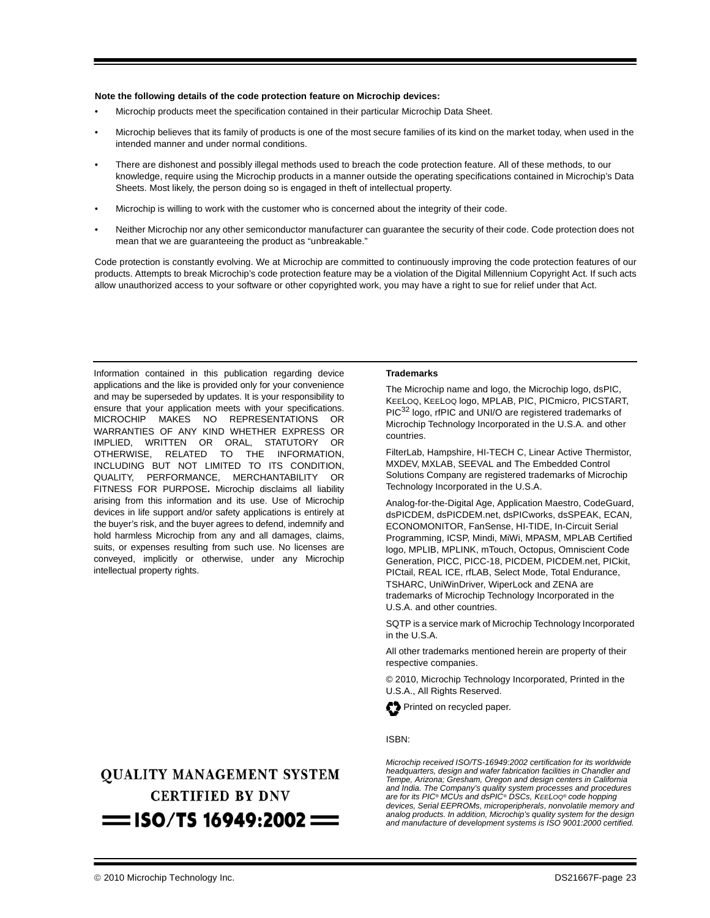#### **Note the following details of the code protection feature on Microchip devices:**

- Microchip products meet the specification contained in their particular Microchip Data Sheet.
- Microchip believes that its family of products is one of the most secure families of its kind on the market today, when used in the intended manner and under normal conditions.
- There are dishonest and possibly illegal methods used to breach the code protection feature. All of these methods, to our knowledge, require using the Microchip products in a manner outside the operating specifications contained in Microchip's Data Sheets. Most likely, the person doing so is engaged in theft of intellectual property.
- Microchip is willing to work with the customer who is concerned about the integrity of their code.
- Neither Microchip nor any other semiconductor manufacturer can guarantee the security of their code. Code protection does not mean that we are guaranteeing the product as "unbreakable."

Code protection is constantly evolving. We at Microchip are committed to continuously improving the code protection features of our products. Attempts to break Microchip's code protection feature may be a violation of the Digital Millennium Copyright Act. If such acts allow unauthorized access to your software or other copyrighted work, you may have a right to sue for relief under that Act.

Information contained in this publication regarding device applications and the like is provided only for your convenience and may be superseded by updates. It is your responsibility to ensure that your application meets with your specifications. MICROCHIP MAKES NO REPRESENTATIONS OR WARRANTIES OF ANY KIND WHETHER EXPRESS OR IMPLIED, WRITTEN OR ORAL, STATUTORY OR OTHERWISE, RELATED TO THE INFORMATION, INCLUDING BUT NOT LIMITED TO ITS CONDITION, QUALITY, PERFORMANCE, MERCHANTABILITY OR FITNESS FOR PURPOSE**.** Microchip disclaims all liability arising from this information and its use. Use of Microchip devices in life support and/or safety applications is entirely at the buyer's risk, and the buyer agrees to defend, indemnify and hold harmless Microchip from any and all damages, claims, suits, or expenses resulting from such use. No licenses are conveyed, implicitly or otherwise, under any Microchip intellectual property rights.

# **QUALITY MANAGEMENT SYSTEM CERTIFIED BY DNV**  $=$  ISO/TS 16949:2002  $=$

#### **Trademarks**

The Microchip name and logo, the Microchip logo, dsPIC, KEELOQ, KEELOQ logo, MPLAB, PIC, PICmicro, PICSTART, PIC<sup>32</sup> logo, rfPIC and UNI/O are registered trademarks of Microchip Technology Incorporated in the U.S.A. and other countries.

FilterLab, Hampshire, HI-TECH C, Linear Active Thermistor, MXDEV, MXLAB, SEEVAL and The Embedded Control Solutions Company are registered trademarks of Microchip Technology Incorporated in the U.S.A.

Analog-for-the-Digital Age, Application Maestro, CodeGuard, dsPICDEM, dsPICDEM.net, dsPICworks, dsSPEAK, ECAN, ECONOMONITOR, FanSense, HI-TIDE, In-Circuit Serial Programming, ICSP, Mindi, MiWi, MPASM, MPLAB Certified logo, MPLIB, MPLINK, mTouch, Octopus, Omniscient Code Generation, PICC, PICC-18, PICDEM, PICDEM.net, PICkit, PICtail, REAL ICE, rfLAB, Select Mode, Total Endurance, TSHARC, UniWinDriver, WiperLock and ZENA are trademarks of Microchip Technology Incorporated in the U.S.A. and other countries.

SQTP is a service mark of Microchip Technology Incorporated in the U.S.A.

All other trademarks mentioned herein are property of their respective companies.

© 2010, Microchip Technology Incorporated, Printed in the U.S.A., All Rights Reserved.

Printed on recycled paper.

ISBN:

*Microchip received ISO/TS-16949:2002 certification for its worldwide headquarters, design and wafer fabrication facilities in Chandler and Tempe, Arizona; Gresham, Oregon and design centers in California and India. The Company's quality system processes and procedures are for its PIC® MCUs and dsPIC® DSCs, KEELOQ® code hopping devices, Serial EEPROMs, microperipherals, nonvolatile memory and analog products. In addition, Microchip's quality system for the design and manufacture of development systems is ISO 9001:2000 certified.*